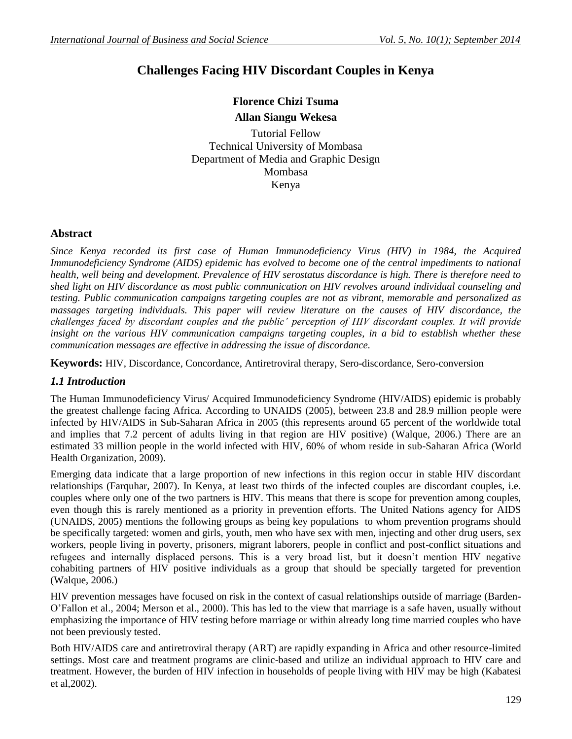## **Challenges Facing HIV Discordant Couples in Kenya**

# **Florence Chizi Tsuma**

## **Allan Siangu Wekesa**

Tutorial Fellow Technical University of Mombasa Department of Media and Graphic Design Mombasa Kenya

## **Abstract**

*Since Kenya recorded its first case of Human Immunodeficiency Virus (HIV) in 1984, the Acquired Immunodeficiency Syndrome (AIDS) epidemic has evolved to become one of the central impediments to national health, well being and development. Prevalence of HIV serostatus discordance is high. There is therefore need to shed light on HIV discordance as most public communication on HIV revolves around individual counseling and testing. Public communication campaigns targeting couples are not as vibrant, memorable and personalized as massages targeting individuals. This paper will review literature on the causes of HIV discordance, the challenges faced by discordant couples and the public' perception of HIV discordant couples. It will provide*  insight on the various HIV communication campaigns targeting couples, in a bid to establish whether these *communication messages are effective in addressing the issue of discordance.* 

**Keywords:** HIV, Discordance, Concordance, Antiretroviral therapy, Sero-discordance, Sero-conversion

#### *1.1 Introduction*

The Human Immunodeficiency Virus/ Acquired Immunodeficiency Syndrome (HIV/AIDS) epidemic is probably the greatest challenge facing Africa. According to UNAIDS (2005), between 23.8 and 28.9 million people were infected by HIV/AIDS in Sub-Saharan Africa in 2005 (this represents around 65 percent of the worldwide total and implies that 7.2 percent of adults living in that region are HIV positive) (Walque, 2006.) There are an estimated 33 million people in the world infected with HIV, 60% of whom reside in sub-Saharan Africa (World Health Organization, 2009).

Emerging data indicate that a large proportion of new infections in this region occur in stable HIV discordant relationships (Farquhar, 2007). In Kenya, at least two thirds of the infected couples are discordant couples, i.e. couples where only one of the two partners is HIV. This means that there is scope for prevention among couples, even though this is rarely mentioned as a priority in prevention efforts. The United Nations agency for AIDS (UNAIDS, 2005) mentions the following groups as being key populations to whom prevention programs should be specifically targeted: women and girls, youth, men who have sex with men, injecting and other drug users, sex workers, people living in poverty, prisoners, migrant laborers, people in conflict and post-conflict situations and refugees and internally displaced persons. This is a very broad list, but it doesn't mention HIV negative cohabiting partners of HIV positive individuals as a group that should be specially targeted for prevention (Walque, 2006.)

HIV prevention messages have focused on risk in the context of casual relationships outside of marriage (Barden-O'Fallon et al., 2004; Merson et al., 2000). This has led to the view that marriage is a safe haven, usually without emphasizing the importance of HIV testing before marriage or within already long time married couples who have not been previously tested.

Both HIV/AIDS care and antiretroviral therapy (ART) are rapidly expanding in Africa and other resource-limited settings. Most care and treatment programs are clinic-based and utilize an individual approach to HIV care and treatment. However, the burden of HIV infection in households of people living with HIV may be high (Kabatesi et al,2002).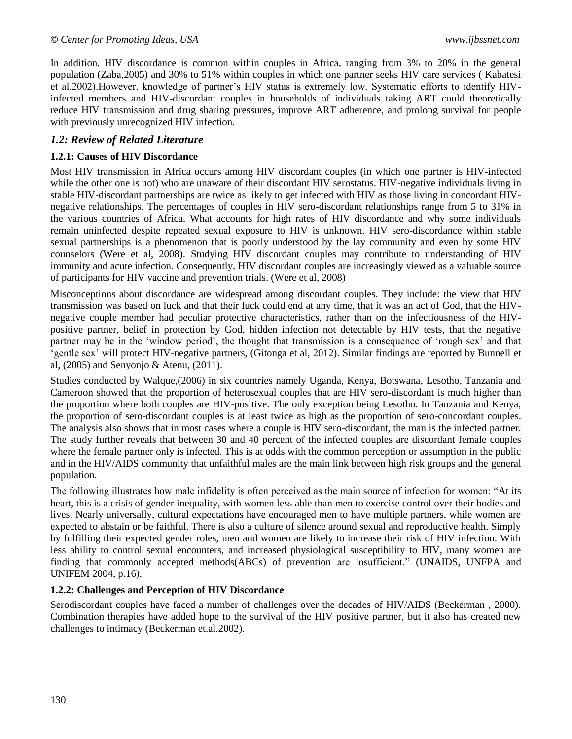In addition, HIV discordance is common within couples in Africa, ranging from 3% to 20% in the general population (Zaba,2005) and 30% to 51% within couples in which one partner seeks HIV care services ( Kabatesi et al,2002).However, knowledge of partner's HIV status is extremely low. Systematic efforts to identify HIVinfected members and HIV-discordant couples in households of individuals taking ART could theoretically reduce HIV transmission and drug sharing pressures, improve ART adherence, and prolong survival for people with previously unrecognized HIV infection.

#### *1.2: Review of Related Literature*

#### **1.2.1: Causes of HIV Discordance**

Most HIV transmission in Africa occurs among HIV discordant couples (in which one partner is HIV-infected while the other one is not) who are unaware of their discordant HIV serostatus. HIV-negative individuals living in stable HIV-discordant partnerships are twice as likely to get infected with HIV as those living in concordant HIVnegative relationships. The percentages of couples in HIV sero-discordant relationships range from 5 to 31% in the various countries of Africa. What accounts for high rates of HIV discordance and why some individuals remain uninfected despite repeated sexual exposure to HIV is unknown. HIV sero-discordance within stable sexual partnerships is a phenomenon that is poorly understood by the lay community and even by some HIV counselors (Were et al, 2008). Studying HIV discordant couples may contribute to understanding of HIV immunity and acute infection. Consequently, HIV discordant couples are increasingly viewed as a valuable source of participants for HIV vaccine and prevention trials. (Were et al, 2008)

Misconceptions about discordance are widespread among discordant couples. They include: the view that HIV transmission was based on luck and that their luck could end at any time, that it was an act of God, that the HIVnegative couple member had peculiar protective characteristics, rather than on the infectiousness of the HIVpositive partner, belief in protection by God, hidden infection not detectable by HIV tests, that the negative partner may be in the 'window period', the thought that transmission is a consequence of 'rough sex' and that 'gentle sex' will protect HIV-negative partners, (Gitonga et al, 2012). Similar findings are reported by Bunnell et al, (2005) and Senyonjo & Atenu, (2011).

Studies conducted by Walque,(2006) in six countries namely Uganda, Kenya, Botswana, Lesotho, Tanzania and Cameroon showed that the proportion of heterosexual couples that are HIV sero-discordant is much higher than the proportion where both couples are HIV-positive. The only exception being Lesotho. In Tanzania and Kenya, the proportion of sero-discordant couples is at least twice as high as the proportion of sero-concordant couples. The analysis also shows that in most cases where a couple is HIV sero-discordant, the man is the infected partner. The study further reveals that between 30 and 40 percent of the infected couples are discordant female couples where the female partner only is infected. This is at odds with the common perception or assumption in the public and in the HIV/AIDS community that unfaithful males are the main link between high risk groups and the general population.

The following illustrates how male infidelity is often perceived as the main source of infection for women: "At its heart, this is a crisis of gender inequality, with women less able than men to exercise control over their bodies and lives. Nearly universally, cultural expectations have encouraged men to have multiple partners, while women are expected to abstain or be faithful. There is also a culture of silence around sexual and reproductive health. Simply by fulfilling their expected gender roles, men and women are likely to increase their risk of HIV infection. With less ability to control sexual encounters, and increased physiological susceptibility to HIV, many women are finding that commonly accepted methods(ABCs) of prevention are insufficient." (UNAIDS, UNFPA and UNIFEM 2004, p.16).

#### **1.2.2: Challenges and Perception of HIV Discordance**

Serodiscordant couples have faced a number of challenges over the decades of HIV/AIDS (Beckerman , 2000). Combination therapies have added hope to the survival of the HIV positive partner, but it also has created new challenges to intimacy (Beckerman et.al.2002).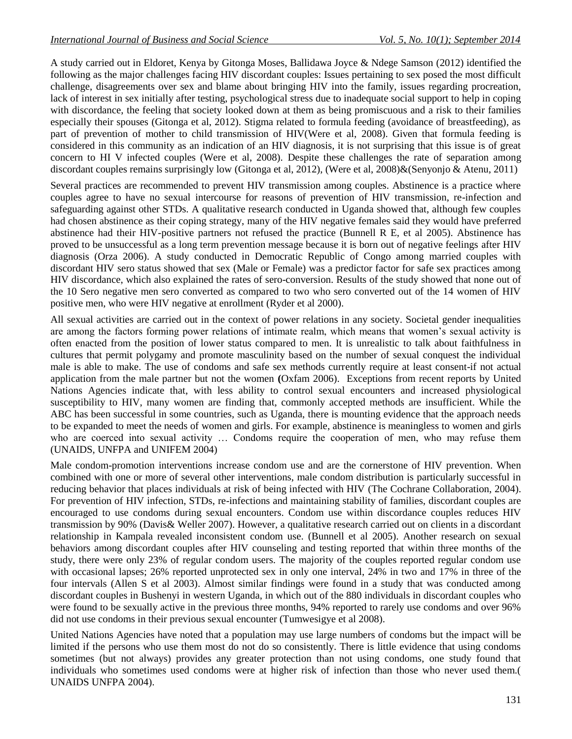A study carried out in Eldoret, Kenya by Gitonga Moses, Ballidawa Joyce & Ndege Samson (2012) identified the following as the major challenges facing HIV discordant couples: Issues pertaining to sex posed the most difficult challenge, disagreements over sex and blame about bringing HIV into the family, issues regarding procreation, lack of interest in sex initially after testing, psychological stress due to inadequate social support to help in coping with discordance, the feeling that society looked down at them as being promiscuous and a risk to their families especially their spouses (Gitonga et al, 2012). Stigma related to formula feeding (avoidance of breastfeeding), as part of prevention of mother to child transmission of HIV(Were et al, 2008). Given that formula feeding is considered in this community as an indication of an HIV diagnosis, it is not surprising that this issue is of great concern to HI V infected couples (Were et al, 2008). Despite these challenges the rate of separation among discordant couples remains surprisingly low (Gitonga et al, 2012), (Were et al, 2008)&(Senyonjo & Atenu, 2011)

Several practices are recommended to prevent HIV transmission among couples. Abstinence is a practice where couples agree to have no sexual intercourse for reasons of prevention of HIV transmission, re-infection and safeguarding against other STDs. A qualitative research conducted in Uganda showed that, although few couples had chosen abstinence as their coping strategy, many of the HIV negative females said they would have preferred abstinence had their HIV-positive partners not refused the practice (Bunnell R E, et al 2005). Abstinence has proved to be unsuccessful as a long term prevention message because it is born out of negative feelings after HIV diagnosis (Orza 2006). A study conducted in Democratic Republic of Congo among married couples with discordant HIV sero status showed that sex (Male or Female) was a predictor factor for safe sex practices among HIV discordance, which also explained the rates of sero-conversion. Results of the study showed that none out of the 10 Sero negative men sero converted as compared to two who sero converted out of the 14 women of HIV positive men, who were HIV negative at enrollment (Ryder et al 2000).

All sexual activities are carried out in the context of power relations in any society. Societal gender inequalities are among the factors forming power relations of intimate realm, which means that women's sexual activity is often enacted from the position of lower status compared to men. It is unrealistic to talk about faithfulness in cultures that permit polygamy and promote masculinity based on the number of sexual conquest the individual male is able to make. The use of condoms and safe sex methods currently require at least consent-if not actual application from the male partner but not the women **(**Oxfam 2006). Exceptions from recent reports by United Nations Agencies indicate that, with less ability to control sexual encounters and increased physiological susceptibility to HIV, many women are finding that, commonly accepted methods are insufficient. While the ABC has been successful in some countries, such as Uganda, there is mounting evidence that the approach needs to be expanded to meet the needs of women and girls. For example, abstinence is meaningless to women and girls who are coerced into sexual activity … Condoms require the cooperation of men, who may refuse them (UNAIDS, UNFPA and UNIFEM 2004)

Male condom-promotion interventions increase condom use and are the cornerstone of HIV prevention. When combined with one or more of several other interventions, male condom distribution is particularly successful in reducing behavior that places individuals at risk of being infected with HIV (The Cochrane Collaboration, 2004). For prevention of HIV infection, STDs, re-infections and maintaining stability of families, discordant couples are encouraged to use condoms during sexual encounters. Condom use within discordance couples reduces HIV transmission by 90% (Davis& Weller 2007). However, a qualitative research carried out on clients in a discordant relationship in Kampala revealed inconsistent condom use. (Bunnell et al 2005). Another research on sexual behaviors among discordant couples after HIV counseling and testing reported that within three months of the study, there were only 23% of regular condom users. The majority of the couples reported regular condom use with occasional lapses; 26% reported unprotected sex in only one interval, 24% in two and 17% in three of the four intervals (Allen S et al 2003). Almost similar findings were found in a study that was conducted among discordant couples in Bushenyi in western Uganda, in which out of the 880 individuals in discordant couples who were found to be sexually active in the previous three months, 94% reported to rarely use condoms and over 96% did not use condoms in their previous sexual encounter (Tumwesigye et al 2008).

United Nations Agencies have noted that a population may use large numbers of condoms but the impact will be limited if the persons who use them most do not do so consistently. There is little evidence that using condoms sometimes (but not always) provides any greater protection than not using condoms, one study found that individuals who sometimes used condoms were at higher risk of infection than those who never used them.( UNAIDS UNFPA 2004).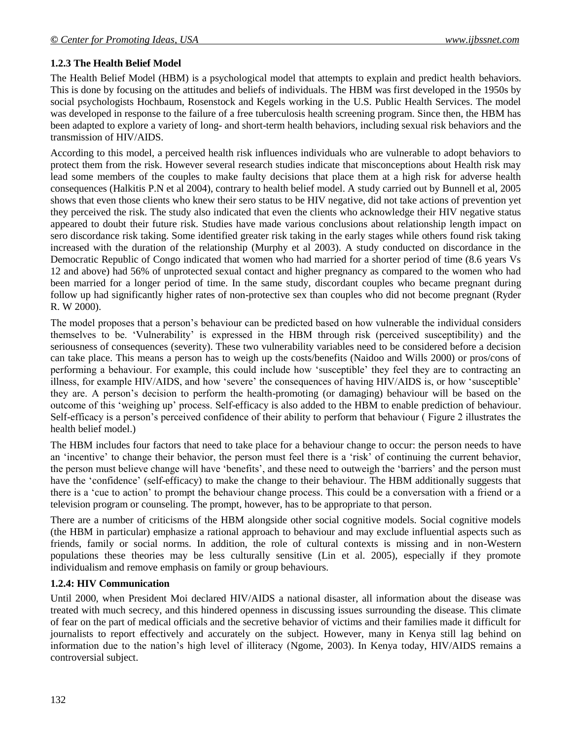## **1.2.3 The Health Belief Model**

The Health Belief Model (HBM) is a psychological model that attempts to explain and predict health behaviors. This is done by focusing on the attitudes and beliefs of individuals. The HBM was first developed in the 1950s by social psychologists Hochbaum, Rosenstock and Kegels working in the U.S. Public Health Services. The model was developed in response to the failure of a free tuberculosis health screening program. Since then, the HBM has been adapted to explore a variety of long- and short-term health behaviors, including sexual risk behaviors and the transmission of HIV/AIDS.

According to this model, a perceived health risk influences individuals who are vulnerable to adopt behaviors to protect them from the risk. However several research studies indicate that misconceptions about Health risk may lead some members of the couples to make faulty decisions that place them at a high risk for adverse health consequences (Halkitis P.N et al 2004), contrary to health belief model. A study carried out by Bunnell et al, 2005 shows that even those clients who knew their sero status to be HIV negative, did not take actions of prevention yet they perceived the risk. The study also indicated that even the clients who acknowledge their HIV negative status appeared to doubt their future risk. Studies have made various conclusions about relationship length impact on sero discordance risk taking. Some identified greater risk taking in the early stages while others found risk taking increased with the duration of the relationship (Murphy et al 2003). A study conducted on discordance in the Democratic Republic of Congo indicated that women who had married for a shorter period of time (8.6 years Vs 12 and above) had 56% of unprotected sexual contact and higher pregnancy as compared to the women who had been married for a longer period of time. In the same study, discordant couples who became pregnant during follow up had significantly higher rates of non-protective sex than couples who did not become pregnant (Ryder R. W 2000).

The model proposes that a person's behaviour can be predicted based on how vulnerable the individual considers themselves to be. 'Vulnerability' is expressed in the HBM through risk (perceived susceptibility) and the seriousness of consequences (severity). These two vulnerability variables need to be considered before a decision can take place. This means a person has to weigh up the costs/benefits (Naidoo and Wills 2000) or pros/cons of performing a behaviour. For example, this could include how 'susceptible' they feel they are to contracting an illness, for example HIV/AIDS, and how 'severe' the consequences of having HIV/AIDS is, or how 'susceptible' they are. A person's decision to perform the health-promoting (or damaging) behaviour will be based on the outcome of this 'weighing up' process. Self-efficacy is also added to the HBM to enable prediction of behaviour. Self-efficacy is a person's perceived confidence of their ability to perform that behaviour ( Figure 2 illustrates the health belief model.)

The HBM includes four factors that need to take place for a behaviour change to occur: the person needs to have an 'incentive' to change their behavior, the person must feel there is a 'risk' of continuing the current behavior, the person must believe change will have 'benefits', and these need to outweigh the 'barriers' and the person must have the 'confidence' (self-efficacy) to make the change to their behaviour. The HBM additionally suggests that there is a 'cue to action' to prompt the behaviour change process. This could be a conversation with a friend or a television program or counseling. The prompt, however, has to be appropriate to that person.

There are a number of criticisms of the HBM alongside other social cognitive models. Social cognitive models (the HBM in particular) emphasize a rational approach to behaviour and may exclude influential aspects such as friends, family or social norms. In addition, the role of cultural contexts is missing and in non-Western populations these theories may be less culturally sensitive (Lin et al. 2005), especially if they promote individualism and remove emphasis on family or group behaviours.

#### **1.2.4: HIV Communication**

Until 2000, when President Moi declared HIV/AIDS a national disaster, all information about the disease was treated with much secrecy, and this hindered openness in discussing issues surrounding the disease. This climate of fear on the part of medical officials and the secretive behavior of victims and their families made it difficult for journalists to report effectively and accurately on the subject. However, many in Kenya still lag behind on information due to the nation's high level of illiteracy (Ngome, 2003). In Kenya today, HIV/AIDS remains a controversial subject.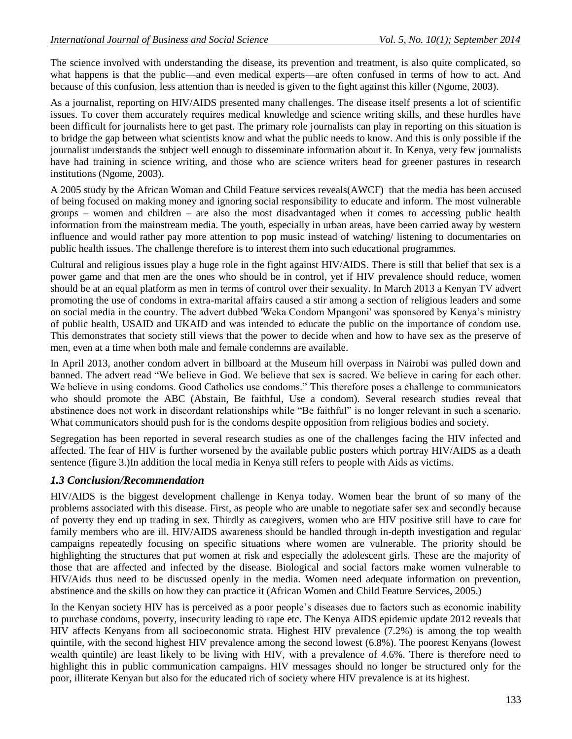The science involved with understanding the disease, its prevention and treatment, is also quite complicated, so what happens is that the public—and even medical experts—are often confused in terms of how to act. And because of this confusion, less attention than is needed is given to the fight against this killer (Ngome, 2003).

As a journalist, reporting on HIV/AIDS presented many challenges. The disease itself presents a lot of scientific issues. To cover them accurately requires medical knowledge and science writing skills, and these hurdles have been difficult for journalists here to get past. The primary role journalists can play in reporting on this situation is to bridge the gap between what scientists know and what the public needs to know. And this is only possible if the journalist understands the subject well enough to disseminate information about it. In Kenya, very few journalists have had training in science writing, and those who are science writers head for greener pastures in research institutions (Ngome, 2003).

A 2005 study by the African Woman and Child Feature services reveals(AWCF) that the media has been accused of being focused on making money and ignoring social responsibility to educate and inform. The most vulnerable groups – women and children – are also the most disadvantaged when it comes to accessing public health information from the mainstream media. The youth, especially in urban areas, have been carried away by western influence and would rather pay more attention to pop music instead of watching/ listening to documentaries on public health issues. The challenge therefore is to interest them into such educational programmes.

Cultural and religious issues play a huge role in the fight against HIV/AIDS. There is still that belief that sex is a power game and that men are the ones who should be in control, yet if HIV prevalence should reduce, women should be at an equal platform as men in terms of control over their sexuality. In March 2013 a Kenyan TV advert promoting the use of condoms in extra-marital affairs caused a stir among a section of religious leaders and some on social media in the country. The advert dubbed 'Weka Condom Mpangoni' was sponsored by Kenya's ministry of public health, USAID and UKAID and was intended to educate the public on the importance of condom use. This demonstrates that society still views that the power to decide when and how to have sex as the preserve of men, even at a time when both male and female condemns are available.

In April 2013, another condom advert in billboard at the Museum hill overpass in Nairobi was pulled down and banned. The advert read "We believe in God. We believe that sex is sacred. We believe in caring for each other. We believe in using condoms. Good Catholics use condoms." This therefore poses a challenge to communicators who should promote the ABC (Abstain, Be faithful, Use a condom). Several research studies reveal that abstinence does not work in discordant relationships while "Be faithful" is no longer relevant in such a scenario. What communicators should push for is the condoms despite opposition from religious bodies and society.

Segregation has been reported in several research studies as one of the challenges facing the HIV infected and affected. The fear of HIV is further worsened by the available public posters which portray HIV/AIDS as a death sentence (figure 3.)In addition the local media in Kenya still refers to people with Aids as victims.

## *1.3 Conclusion/Recommendation*

HIV/AIDS is the biggest development challenge in Kenya today. Women bear the brunt of so many of the problems associated with this disease. First, as people who are unable to negotiate safer sex and secondly because of poverty they end up trading in sex. Thirdly as caregivers, women who are HIV positive still have to care for family members who are ill. HIV/AIDS awareness should be handled through in-depth investigation and regular campaigns repeatedly focusing on specific situations where women are vulnerable. The priority should be highlighting the structures that put women at risk and especially the adolescent girls. These are the majority of those that are affected and infected by the disease. Biological and social factors make women vulnerable to HIV/Aids thus need to be discussed openly in the media. Women need adequate information on prevention, abstinence and the skills on how they can practice it (African Women and Child Feature Services, 2005.)

In the Kenyan society HIV has is perceived as a poor people's diseases due to factors such as economic inability to purchase condoms, poverty, insecurity leading to rape etc. The Kenya AIDS epidemic update 2012 reveals that HIV affects Kenyans from all socioeconomic strata. Highest HIV prevalence (7.2%) is among the top wealth quintile, with the second highest HIV prevalence among the second lowest (6.8%). The poorest Kenyans (lowest wealth quintile) are least likely to be living with HIV, with a prevalence of 4.6%. There is therefore need to highlight this in public communication campaigns. HIV messages should no longer be structured only for the poor, illiterate Kenyan but also for the educated rich of society where HIV prevalence is at its highest.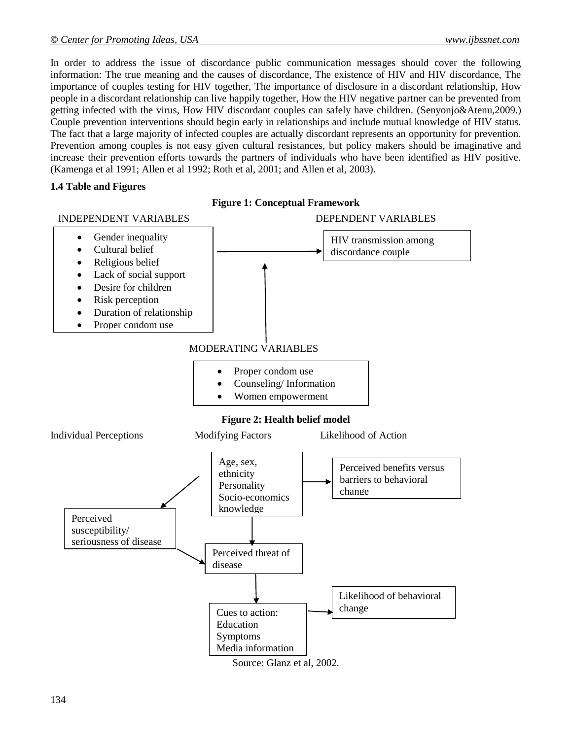In order to address the issue of discordance public communication messages should cover the following information: The true meaning and the causes of discordance, The existence of HIV and HIV discordance, The importance of couples testing for HIV together, The importance of disclosure in a discordant relationship, How people in a discordant relationship can live happily together, How the HIV negative partner can be prevented from getting infected with the virus, How HIV discordant couples can safely have children. (Senyonjo&Atenu,2009.) Couple prevention interventions should begin early in relationships and include mutual knowledge of HIV status. The fact that a large majority of infected couples are actually discordant represents an opportunity for prevention. Prevention among couples is not easy given cultural resistances, but policy makers should be imaginative and increase their prevention efforts towards the partners of individuals who have been identified as HIV positive. (Kamenga et al 1991; Allen et al 1992; Roth et al, 2001; and Allen et al, 2003).

#### **1.4 Table and Figures**

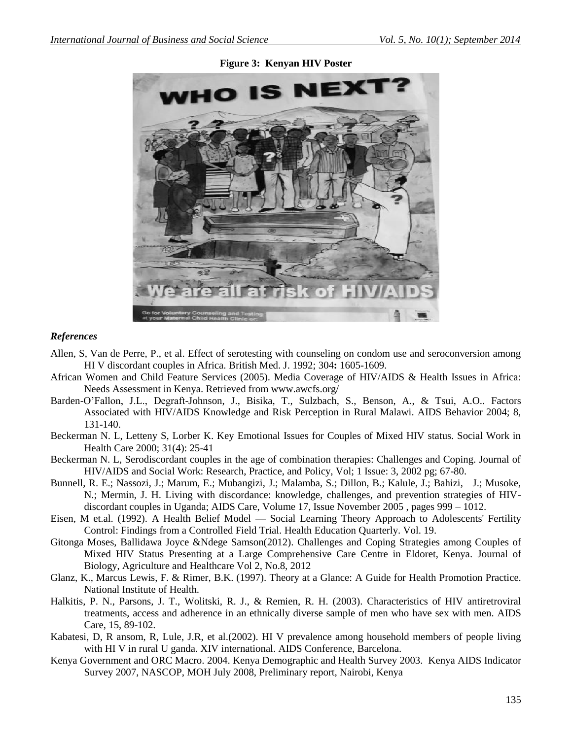

#### **Figure 3: Kenyan HIV Poster**

#### *References*

- Allen, S, Van de Perre, P., et al. Effect of serotesting with counseling on condom use and seroconversion among HI V discordant couples in Africa. British Med. J. 1992; 304**:** 1605-1609.
- African Women and Child Feature Services (2005). Media Coverage of HIV/AIDS & Health Issues in Africa: Needs Assessment in Kenya. Retrieved from www.awcfs.org/
- Barden-O'Fallon, J.L., Degraft-Johnson, J., Bisika, T., Sulzbach, S., Benson, A., & Tsui, A.O.. Factors Associated with HIV/AIDS Knowledge and Risk Perception in Rural Malawi. AIDS Behavior 2004; 8, 131-140.
- Beckerman N. L, Letteny S, Lorber K. Key Emotional Issues for Couples of Mixed HIV status. Social Work in Health Care 2000; 31(4): 25-41
- Beckerman N. L, Serodiscordant couples in the age of combination therapies: Challenges and Coping. Journal of HIV/AIDS and Social Work: Research, Practice, and Policy, Vol; 1 Issue: 3, 2002 pg; 67-80.
- Bunnell, R. E.; Nassozi, J.; Marum, E.; Mubangizi, J.; Malamba, S.; Dillon, B.; Kalule, J.; Bahizi, J.; Musoke, N.; Mermin, J. H. Living with discordance: knowledge, challenges, and prevention strategies of HIVdiscordant couples in Uganda; AIDS Care, Volume 17, Issue November 2005 , pages 999 – 1012.
- Eisen, M et.al. (1992). A Health Belief Model Social Learning Theory Approach to Adolescents' Fertility Control: Findings from a Controlled Field Trial. Health Education Quarterly. Vol. 19.
- Gitonga Moses, Ballidawa Joyce &Ndege Samson(2012). Challenges and Coping Strategies among Couples of Mixed HIV Status Presenting at a Large Comprehensive Care Centre in Eldoret, Kenya. Journal of Biology, Agriculture and Healthcare Vol 2, No.8, 2012
- Glanz, K., Marcus Lewis, F. & Rimer, B.K. (1997). Theory at a Glance: A Guide for Health Promotion Practice. National Institute of Health.
- Halkitis, P. N., Parsons, J. T., Wolitski, R. J., & Remien, R. H. (2003). Characteristics of HIV antiretroviral treatments, access and adherence in an ethnically diverse sample of men who have sex with men. AIDS Care, 15, 89-102.
- Kabatesi, D, R ansom, R, Lule, J.R, et al.(2002). HI V prevalence among household members of people living with HI V in rural U ganda. XIV international. AIDS Conference, Barcelona.
- Kenya Government and ORC Macro. 2004. Kenya Demographic and Health Survey 2003. Kenya AIDS Indicator Survey 2007, NASCOP, MOH July 2008, Preliminary report, Nairobi, Kenya